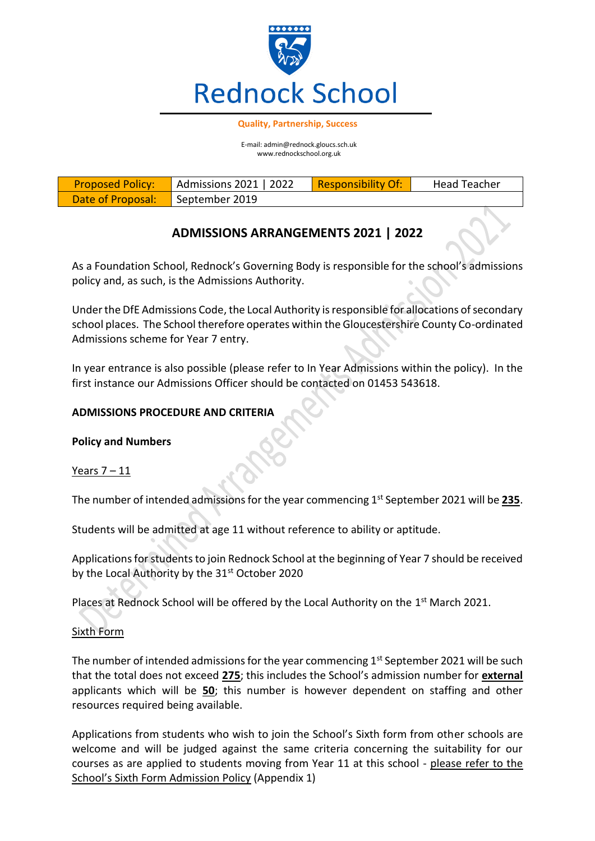

#### **Quality, Partnership, Success**

E-mail: admin@rednock.gloucs.sch.uk www.rednockschool.org.uk

| <b>Proposed Policy:</b> | $\vert$ Admissions 2021   2022 | Responsibility Of: | <b>Head Teacher</b> |
|-------------------------|--------------------------------|--------------------|---------------------|
| Date of Proposal:       | September 2019                 |                    |                     |

# **ADMISSIONS ARRANGEMENTS 2021 | 2022**

As a Foundation School, Rednock's Governing Body is responsible for the school's admissions policy and, as such, is the Admissions Authority.

Under the DfE Admissions Code, the Local Authority is responsible for allocations of secondary school places. The School therefore operates within the Gloucestershire County Co-ordinated Admissions scheme for Year 7 entry.

In year entrance is also possible (please refer to In Year Admissions within the policy). In the first instance our Admissions Officer should be contacted on 01453 543618.

# **ADMISSIONS PROCEDURE AND CRITERIA**

# **Policy and Numbers**

# Years  $7 - 11$

The number of intended admissions for the year commencing 1st September 2021 will be **235**.

Students will be admitted at age 11 without reference to ability or aptitude.

Applications for students to join Rednock School at the beginning of Year 7 should be received by the Local Authority by the 31<sup>st</sup> October 2020

Places at Rednock School will be offered by the Local Authority on the 1<sup>st</sup> March 2021.

### Sixth Form

The number of intended admissions for the year commencing  $1<sup>st</sup>$  September 2021 will be such that the total does not exceed **275**; this includes the School's admission number for **external** applicants which will be **50**; this number is however dependent on staffing and other resources required being available.

Applications from students who wish to join the School's Sixth form from other schools are welcome and will be judged against the same criteria concerning the suitability for our courses as are applied to students moving from Year 11 at this school - please refer to the School's Sixth Form Admission Policy (Appendix 1)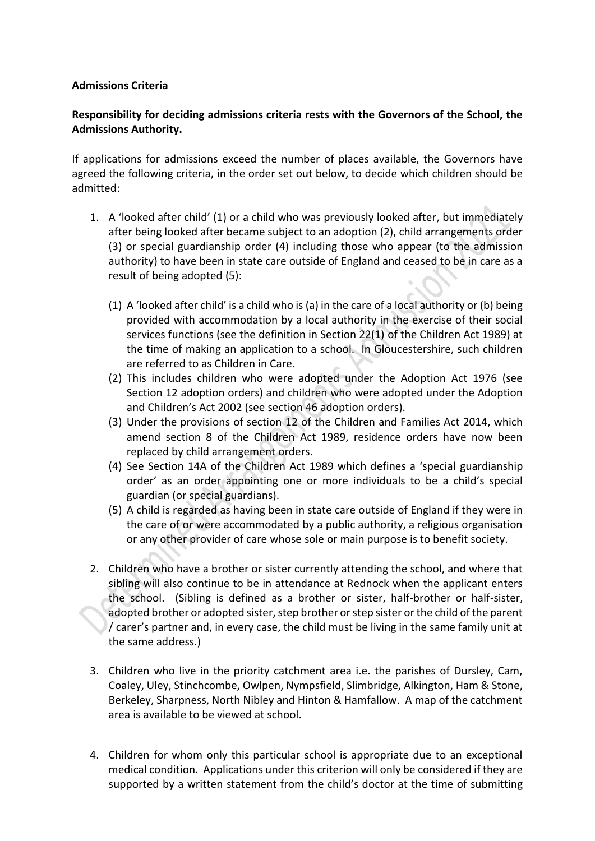### **Admissions Criteria**

# **Responsibility for deciding admissions criteria rests with the Governors of the School, the Admissions Authority.**

If applications for admissions exceed the number of places available, the Governors have agreed the following criteria, in the order set out below, to decide which children should be admitted:

- 1. A 'looked after child' (1) or a child who was previously looked after, but immediately after being looked after became subject to an adoption (2), child arrangements order (3) or special guardianship order (4) including those who appear (to the admission authority) to have been in state care outside of England and ceased to be in care as a result of being adopted (5):
	- (1) A 'looked after child' is a child who is (a) in the care of a local authority or (b) being provided with accommodation by a local authority in the exercise of their social services functions (see the definition in Section 22(1) of the Children Act 1989) at the time of making an application to a school. In Gloucestershire, such children are referred to as Children in Care.
	- (2) This includes children who were adopted under the Adoption Act 1976 (see Section 12 adoption orders) and children who were adopted under the Adoption and Children's Act 2002 (see section 46 adoption orders).
	- (3) Under the provisions of section 12 of the Children and Families Act 2014, which amend section 8 of the Children Act 1989, residence orders have now been replaced by child arrangement orders.
	- (4) See Section 14A of the Children Act 1989 which defines a 'special guardianship order' as an order appointing one or more individuals to be a child's special guardian (or special guardians).
	- (5) A child is regarded as having been in state care outside of England if they were in the care of or were accommodated by a public authority, a religious organisation or any other provider of care whose sole or main purpose is to benefit society.
- 2. Children who have a brother or sister currently attending the school, and where that sibling will also continue to be in attendance at Rednock when the applicant enters the school. (Sibling is defined as a brother or sister, half-brother or half-sister, adopted brother or adopted sister, step brother or step sister or the child of the parent / carer's partner and, in every case, the child must be living in the same family unit at the same address.)
- 3. Children who live in the priority catchment area i.e. the parishes of Dursley, Cam, Coaley, Uley, Stinchcombe, Owlpen, Nympsfield, Slimbridge, Alkington, Ham & Stone, Berkeley, Sharpness, North Nibley and Hinton & Hamfallow. A map of the catchment area is available to be viewed at school.
- 4. Children for whom only this particular school is appropriate due to an exceptional medical condition. Applications under this criterion will only be considered if they are supported by a written statement from the child's doctor at the time of submitting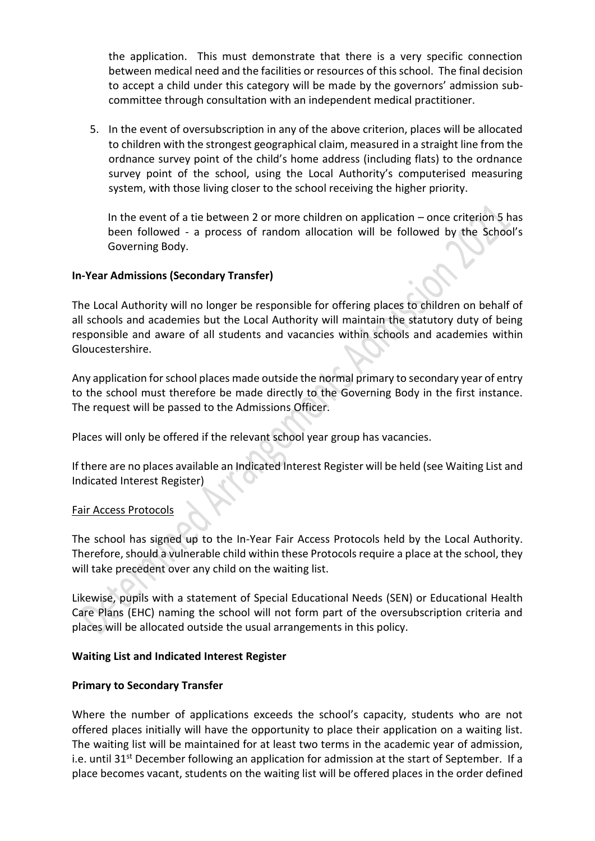the application. This must demonstrate that there is a very specific connection between medical need and the facilities or resources of this school. The final decision to accept a child under this category will be made by the governors' admission subcommittee through consultation with an independent medical practitioner.

5. In the event of oversubscription in any of the above criterion, places will be allocated to children with the strongest geographical claim, measured in a straight line from the ordnance survey point of the child's home address (including flats) to the ordnance survey point of the school, using the Local Authority's computerised measuring system, with those living closer to the school receiving the higher priority.

In the event of a tie between 2 or more children on application – once criterion 5 has been followed - a process of random allocation will be followed by the School's Governing Body.

# **In-Year Admissions (Secondary Transfer)**

The Local Authority will no longer be responsible for offering places to children on behalf of all schools and academies but the Local Authority will maintain the statutory duty of being responsible and aware of all students and vacancies within schools and academies within Gloucestershire.

Any application for school places made outside the normal primary to secondary year of entry to the school must therefore be made directly to the Governing Body in the first instance. The request will be passed to the Admissions Officer.

Places will only be offered if the relevant school year group has vacancies.

If there are no places available an Indicated Interest Register will be held (see Waiting List and Indicated Interest Register)

#### Fair Access Protocols

The school has signed up to the In-Year Fair Access Protocols held by the Local Authority. Therefore, should a vulnerable child within these Protocols require a place at the school, they will take precedent over any child on the waiting list.

Likewise, pupils with a statement of Special Educational Needs (SEN) or Educational Health Care Plans (EHC) naming the school will not form part of the oversubscription criteria and places will be allocated outside the usual arrangements in this policy.

#### **Waiting List and Indicated Interest Register**

# **Primary to Secondary Transfer**

Where the number of applications exceeds the school's capacity, students who are not offered places initially will have the opportunity to place their application on a waiting list. The waiting list will be maintained for at least two terms in the academic year of admission, i.e. until 31<sup>st</sup> December following an application for admission at the start of September. If a place becomes vacant, students on the waiting list will be offered places in the order defined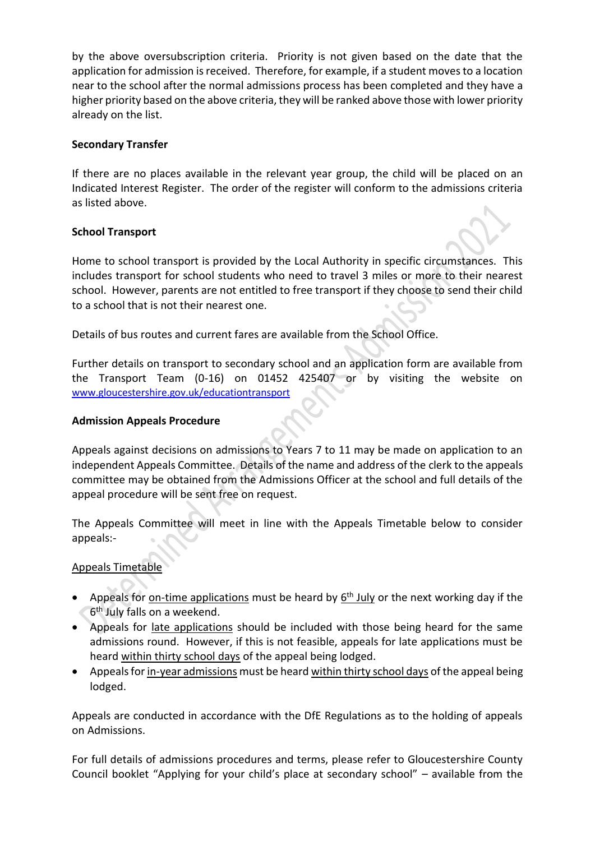by the above oversubscription criteria. Priority is not given based on the date that the application for admission is received. Therefore, for example, if a student moves to a location near to the school after the normal admissions process has been completed and they have a higher priority based on the above criteria, they will be ranked above those with lower priority already on the list.

### **Secondary Transfer**

If there are no places available in the relevant year group, the child will be placed on an Indicated Interest Register. The order of the register will conform to the admissions criteria as listed above.

### **School Transport**

Home to school transport is provided by the Local Authority in specific circumstances. This includes transport for school students who need to travel 3 miles or more to their nearest school. However, parents are not entitled to free transport if they choose to send their child to a school that is not their nearest one.

Details of bus routes and current fares are available from the School Office.

Further details on transport to secondary school and an application form are available from the Transport Team (0-16) on 01452 425407 or by visiting the website on [www.gloucestershire.gov.uk/educationtransport](http://www.gloucestershire.gov.uk/educationtransport)

#### **Admission Appeals Procedure**

Appeals against decisions on admissions to Years 7 to 11 may be made on application to an independent Appeals Committee. Details of the name and address of the clerk to the appeals committee may be obtained from the Admissions Officer at the school and full details of the appeal procedure will be sent free on request.

The Appeals Committee will meet in line with the Appeals Timetable below to consider appeals:-

# Appeals Timetable

- Appeals for on-time applications must be heard by 6<sup>th</sup> July or the next working day if the 6 th July falls on a weekend.
- Appeals for late applications should be included with those being heard for the same admissions round. However, if this is not feasible, appeals for late applications must be heard within thirty school days of the appeal being lodged.
- Appeals for in-year admissions must be heard within thirty school days of the appeal being lodged.

Appeals are conducted in accordance with the DfE Regulations as to the holding of appeals on Admissions.

For full details of admissions procedures and terms, please refer to Gloucestershire County Council booklet "Applying for your child's place at secondary school" – available from the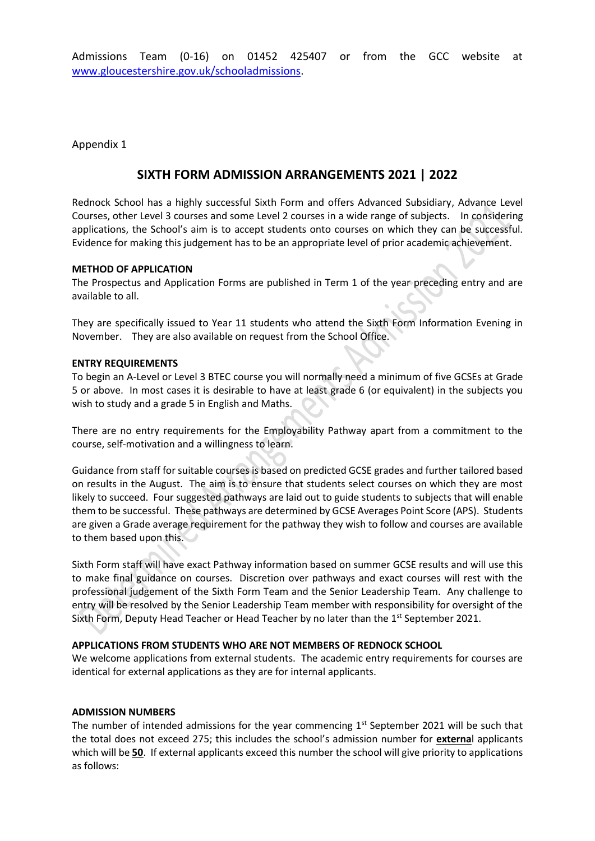Admissions Team (0-16) on 01452 425407 or from the GCC website at [www.gloucestershire.gov.uk/schooladmissions.](http://www.gloucestershire.gov.uk/schooladmissions)

Appendix 1

# **SIXTH FORM ADMISSION ARRANGEMENTS 2021 | 2022**

Rednock School has a highly successful Sixth Form and offers Advanced Subsidiary, Advance Level Courses, other Level 3 courses and some Level 2 courses in a wide range of subjects. In considering applications, the School's aim is to accept students onto courses on which they can be successful. Evidence for making this judgement has to be an appropriate level of prior academic achievement.

#### **METHOD OF APPLICATION**

The Prospectus and Application Forms are published in Term 1 of the year preceding entry and are available to all.

They are specifically issued to Year 11 students who attend the Sixth Form Information Evening in November. They are also available on request from the School Office.

#### **ENTRY REQUIREMENTS**

To begin an A-Level or Level 3 BTEC course you will normally need a minimum of five GCSEs at Grade 5 or above. In most cases it is desirable to have at least grade 6 (or equivalent) in the subjects you wish to study and a grade 5 in English and Maths.

There are no entry requirements for the Employability Pathway apart from a commitment to the course, self-motivation and a willingness to learn.

Guidance from staff for suitable courses is based on predicted GCSE grades and further tailored based on results in the August. The aim is to ensure that students select courses on which they are most likely to succeed. Four suggested pathways are laid out to guide students to subjects that will enable them to be successful. These pathways are determined by GCSE Averages Point Score (APS). Students are given a Grade average requirement for the pathway they wish to follow and courses are available to them based upon this.

Sixth Form staff will have exact Pathway information based on summer GCSE results and will use this to make final guidance on courses. Discretion over pathways and exact courses will rest with the professional judgement of the Sixth Form Team and the Senior Leadership Team. Any challenge to entry will be resolved by the Senior Leadership Team member with responsibility for oversight of the Sixth Form, Deputy Head Teacher or Head Teacher by no later than the 1<sup>st</sup> September 2021.

#### **APPLICATIONS FROM STUDENTS WHO ARE NOT MEMBERS OF REDNOCK SCHOOL**

We welcome applications from external students. The academic entry requirements for courses are identical for external applications as they are for internal applicants.

#### **ADMISSION NUMBERS**

The number of intended admissions for the year commencing 1st September 2021 will be such that the total does not exceed 275; this includes the school's admission number for **externa**l applicants which will be **50**. If external applicants exceed this number the school will give priority to applications as follows: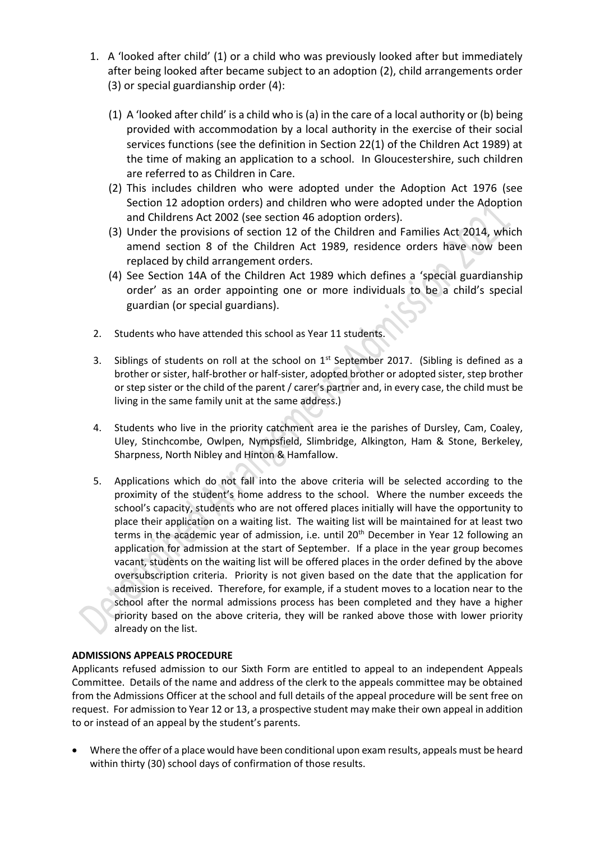- 1. A 'looked after child' (1) or a child who was previously looked after but immediately after being looked after became subject to an adoption (2), child arrangements order (3) or special guardianship order (4):
	- (1) A 'looked after child' is a child who is (a) in the care of a local authority or (b) being provided with accommodation by a local authority in the exercise of their social services functions (see the definition in Section 22(1) of the Children Act 1989) at the time of making an application to a school. In Gloucestershire, such children are referred to as Children in Care.
	- (2) This includes children who were adopted under the Adoption Act 1976 (see Section 12 adoption orders) and children who were adopted under the Adoption and Childrens Act 2002 (see section 46 adoption orders).
	- (3) Under the provisions of section 12 of the Children and Families Act 2014, which amend section 8 of the Children Act 1989, residence orders have now been replaced by child arrangement orders.
	- (4) See Section 14A of the Children Act 1989 which defines a 'special guardianship order' as an order appointing one or more individuals to be a child's special guardian (or special guardians).
- 2. Students who have attended this school as Year 11 students.
- 3. Siblings of students on roll at the school on  $1<sup>st</sup>$  September 2017. (Sibling is defined as a brother or sister, half-brother or half-sister, adopted brother or adopted sister, step brother or step sister or the child of the parent / carer's partner and, in every case, the child must be living in the same family unit at the same address.)
- 4. Students who live in the priority catchment area ie the parishes of Dursley, Cam, Coaley, Uley, Stinchcombe, Owlpen, Nympsfield, Slimbridge, Alkington, Ham & Stone, Berkeley, Sharpness, North Nibley and Hinton & Hamfallow.
- 5. Applications which do not fall into the above criteria will be selected according to the proximity of the student's home address to the school. Where the number exceeds the school's capacity, students who are not offered places initially will have the opportunity to place their application on a waiting list. The waiting list will be maintained for at least two terms in the academic year of admission, i.e. until 20<sup>th</sup> December in Year 12 following an application for admission at the start of September. If a place in the year group becomes vacant, students on the waiting list will be offered places in the order defined by the above oversubscription criteria. Priority is not given based on the date that the application for admission is received. Therefore, for example, if a student moves to a location near to the school after the normal admissions process has been completed and they have a higher priority based on the above criteria, they will be ranked above those with lower priority already on the list.

#### **ADMISSIONS APPEALS PROCEDURE**

Applicants refused admission to our Sixth Form are entitled to appeal to an independent Appeals Committee. Details of the name and address of the clerk to the appeals committee may be obtained from the Admissions Officer at the school and full details of the appeal procedure will be sent free on request. For admission to Year 12 or 13, a prospective student may make their own appeal in addition to or instead of an appeal by the student's parents.

• Where the offer of a place would have been conditional upon exam results, appeals must be heard within thirty (30) school days of confirmation of those results.